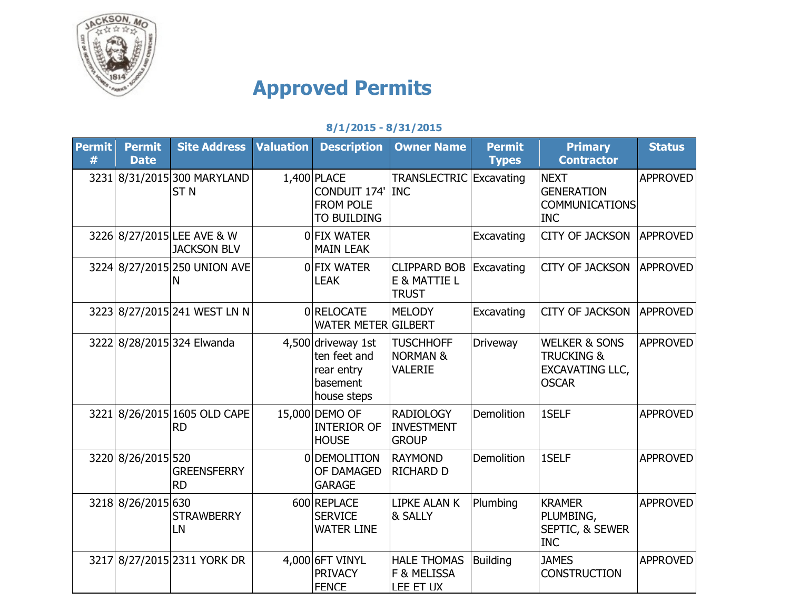

## **Approved Permits**

## **8/1/2015 - 8/31/2015**

| <b>Permit</b><br># | <b>Permit</b><br><b>Date</b> | <b>Site Address</b>                              | <b>Valuation</b> | <b>Description</b>                                                          | <b>Owner Name</b>                                         | <b>Permit</b><br><b>Types</b> | <b>Primary</b><br><b>Contractor</b>                                                         | <b>Status</b>   |
|--------------------|------------------------------|--------------------------------------------------|------------------|-----------------------------------------------------------------------------|-----------------------------------------------------------|-------------------------------|---------------------------------------------------------------------------------------------|-----------------|
|                    |                              | 3231 8/31/2015 300 MARYLAND<br>ST <sub>N</sub>   |                  | $1,400$ PLACE<br>CONDUIT 174' INC<br><b>FROM POLE</b><br>TO BUILDING        | TRANSLECTRIC Excavating                                   |                               | <b>NEXT</b><br><b>GENERATION</b><br><b>COMMUNICATIONS</b><br><b>INC</b>                     | <b>APPROVED</b> |
|                    |                              | 3226 8/27/2015 LEE AVE & W<br><b>JACKSON BLV</b> |                  | 0 FIX WATER<br><b>MAIN LEAK</b>                                             |                                                           | Excavating                    | <b>CITY OF JACKSON</b>                                                                      | <b>APPROVED</b> |
|                    |                              | 3224 8/27/2015 250 UNION AVE<br>Ν                |                  | OFIX WATER<br><b>LEAK</b>                                                   | <b>CLIPPARD BOB</b><br>E & MATTIE L<br><b>TRUST</b>       | Excavating                    | <b>CITY OF JACKSON</b>                                                                      | <b>APPROVED</b> |
|                    |                              | 3223 8/27/2015 241 WEST LN N                     |                  | 0 RELOCATE<br><b>WATER METER GILBERT</b>                                    | <b>MELODY</b>                                             | Excavating                    | <b>CITY OF JACKSON</b>                                                                      | <b>APPROVED</b> |
|                    |                              | 3222 8/28/2015 324 Elwanda                       |                  | 4,500 driveway 1st<br>ten feet and<br>rear entry<br>basement<br>house steps | <b>TUSCHHOFF</b><br><b>NORMAN &amp;</b><br><b>VALERIE</b> | <b>Driveway</b>               | <b>WELKER &amp; SONS</b><br><b>TRUCKING &amp;</b><br><b>EXCAVATING LLC,</b><br><b>OSCAR</b> | <b>APPROVED</b> |
|                    |                              | 3221 8/26/2015 1605 OLD CAPE<br><b>RD</b>        |                  | 15,000 DEMO OF<br><b>INTERIOR OF</b><br><b>HOUSE</b>                        | <b>RADIOLOGY</b><br><b>INVESTMENT</b><br><b>GROUP</b>     | <b>Demolition</b>             | 1SELF                                                                                       | <b>APPROVED</b> |
|                    | 3220 8/26/2015 520           | <b>GREENSFERRY</b><br><b>RD</b>                  |                  | 0DEMOLITION<br>OF DAMAGED<br><b>GARAGE</b>                                  | <b>RAYMOND</b><br><b>RICHARD D</b>                        | <b>Demolition</b>             | 1SELF                                                                                       | <b>APPROVED</b> |
|                    | 3218 8/26/2015 630           | <b>STRAWBERRY</b><br>LN                          |                  | 600 REPLACE<br><b>SERVICE</b><br><b>WATER LINE</b>                          | <b>LIPKE ALAN K</b><br>& SALLY                            | Plumbing                      | <b>KRAMER</b><br>PLUMBING,<br>SEPTIC, & SEWER<br><b>INC</b>                                 | <b>APPROVED</b> |
|                    |                              | 3217 8/27/2015 2311 YORK DR                      |                  | 4,000 6FT VINYL<br><b>PRIVACY</b><br><b>FENCE</b>                           | <b>HALE THOMAS</b><br>F & MELISSA<br>LEE ET UX            | <b>Building</b>               | <b>JAMES</b><br><b>CONSTRUCTION</b>                                                         | <b>APPROVED</b> |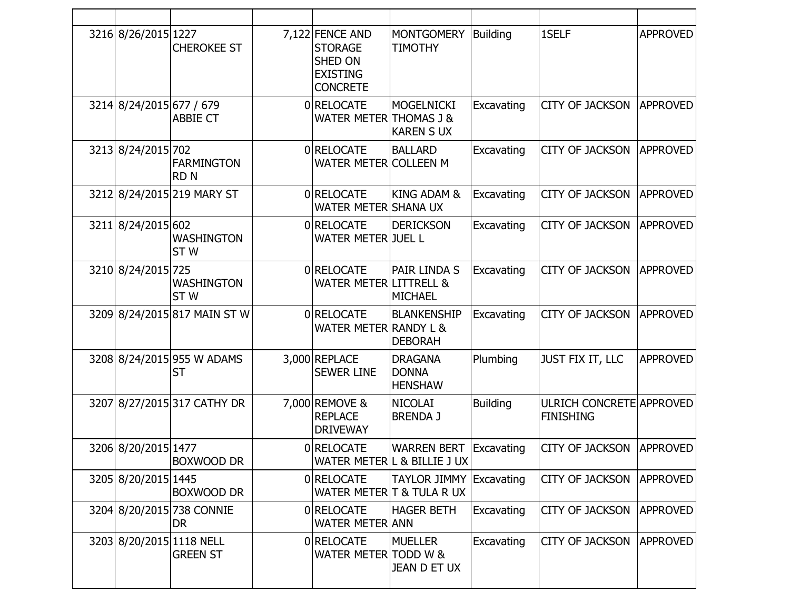| 3216 8/26/2015 1227      | <b>CHEROKEE ST</b>                          | 7,122 FENCE AND<br><b>STORAGE</b><br><b>SHED ON</b><br><b>EXISTING</b><br><b>CONCRETE</b> | <b>MONTGOMERY</b><br><b>TIMOTHY</b>               | <b>Building</b> | 1SELF                                               | <b>APPROVED</b> |
|--------------------------|---------------------------------------------|-------------------------------------------------------------------------------------------|---------------------------------------------------|-----------------|-----------------------------------------------------|-----------------|
| 3214 8/24/2015 677 / 679 | <b>ABBIE CT</b>                             | 0 RELOCATE<br>WATER METER THOMAS J &                                                      | <b>MOGELNICKI</b><br><b>KAREN S UX</b>            | Excavating      | <b>CITY OF JACKSON</b>                              | <b>APPROVED</b> |
| 3213 8/24/2015 702       | <b>FARMINGTON</b><br><b>RDN</b>             | 0 RELOCATE<br><b>WATER METER COLLEEN M</b>                                                | <b>BALLARD</b>                                    | Excavating      | <b>CITY OF JACKSON</b>                              | <b>APPROVED</b> |
|                          | 3212 8/24/2015 219 MARY ST                  | 0 RELOCATE<br><b>WATER METER SHANA UX</b>                                                 | <b>KING ADAM &amp;</b>                            | Excavating      | <b>CITY OF JACKSON</b>                              | <b>APPROVED</b> |
| 3211 8/24/2015 602       | <b>WASHINGTON</b><br>ST <sub>W</sub>        | 0 RELOCATE<br><b>WATER METER JUEL L</b>                                                   | <b>DERICKSON</b>                                  | Excavating      | <b>CITY OF JACKSON</b>                              | <b>APPROVED</b> |
| 3210 8/24/2015 725       | <b>WASHINGTON</b><br>ST <sub>W</sub>        | 0 RELOCATE<br><b>WATER METER LITTRELL &amp;</b>                                           | PAIR LINDA S<br><b>MICHAEL</b>                    | Excavating      | <b>CITY OF JACKSON</b>                              | <b>APPROVED</b> |
|                          | 3209 8/24/2015 817 MAIN ST W                | 0 RELOCATE<br><b>WATER METER RANDY L &amp;</b>                                            | <b>BLANKENSHIP</b><br><b>DEBORAH</b>              | Excavating      | <b>CITY OF JACKSON</b>                              | <b>APPROVED</b> |
|                          | 3208 8/24/2015 955 W ADAMS<br>ST            | 3,000 REPLACE<br><b>SEWER LINE</b>                                                        | <b>DRAGANA</b><br><b>DONNA</b><br><b>HENSHAW</b>  | Plumbing        | JUST FIX IT, LLC                                    | <b>APPROVED</b> |
|                          | 3207 8/27/2015 317 CATHY DR                 | 7,000 REMOVE &<br><b>REPLACE</b><br><b>DRIVEWAY</b>                                       | <b>NICOLAI</b><br><b>BRENDA J</b>                 | <b>Building</b> | <b>ULRICH CONCRETE APPROVED</b><br><b>FINISHING</b> |                 |
| 3206 8/20/2015 1477      | <b>BOXWOOD DR</b>                           | 0 RELOCATE                                                                                | <b>WARREN BERT</b><br>WATER METERIL & BILLIE J UX | Excavating      | <b>CITY OF JACKSON</b>                              | <b>APPROVED</b> |
| 3205 8/20/2015 1445      | <b>BOXWOOD DR</b>                           | 0 RELOCATE                                                                                | <b>TAYLOR JIMMY</b><br>WATER METER T & TULA R UX  | Excavating      | CITY OF JACKSON                                     | <b>APPROVED</b> |
|                          | 3204 8/20/2015 738 CONNIE<br><b>DR</b>      | 0 RELOCATE<br><b>WATER METER ANN</b>                                                      | <b>HAGER BETH</b>                                 | Excavating      | <b>CITY OF JACKSON</b>                              | <b>APPROVED</b> |
|                          | 3203 8/20/2015 1118 NELL<br><b>GREEN ST</b> | 0 RELOCATE<br><b>WATER METER</b>                                                          | <b>MUELLER</b><br>TODD W &<br>JEAN D ET UX        | Excavating      | <b>CITY OF JACKSON</b>                              | <b>APPROVED</b> |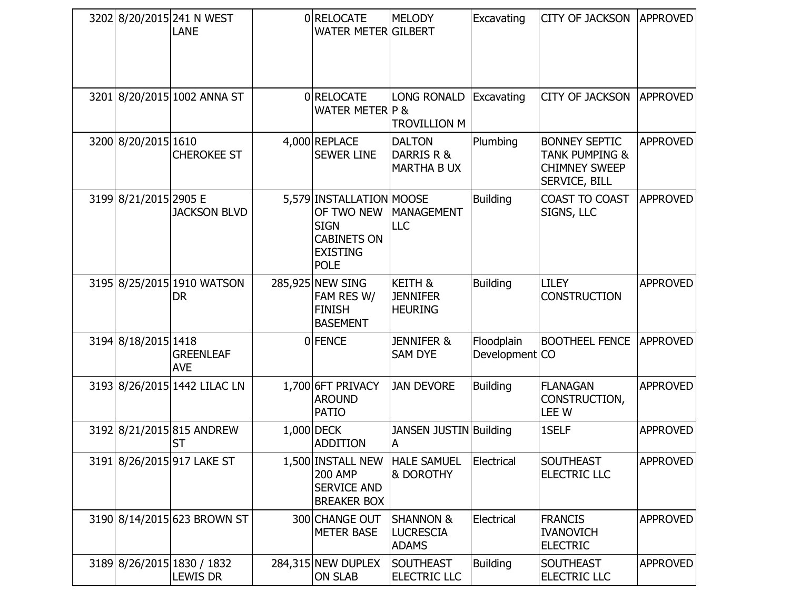|  |                       | 3202 8/20/2015 241 N WEST<br><b>LANE</b>      | 0 RELOCATE<br><b>WATER METER GILBERT</b>                                                                      | <b>MELODY</b>                                            | Excavating                   | <b>CITY OF JACKSON</b>                                                                            | <b>APPROVED</b> |
|--|-----------------------|-----------------------------------------------|---------------------------------------------------------------------------------------------------------------|----------------------------------------------------------|------------------------------|---------------------------------------------------------------------------------------------------|-----------------|
|  |                       | 3201 8/20/2015 1002 ANNA ST                   | 0 RELOCATE<br><b>WATER METER P &amp;</b>                                                                      | <b>LONG RONALD</b><br><b>TROVILLION M</b>                | Excavating                   | <b>CITY OF JACKSON</b>                                                                            | <b>APPROVED</b> |
|  | 3200 8/20/2015 1610   | <b>CHEROKEE ST</b>                            | 4,000 REPLACE<br><b>SEWER LINE</b>                                                                            | <b>DALTON</b><br>DARRIS R &<br><b>MARTHA B UX</b>        | Plumbing                     | <b>BONNEY SEPTIC</b><br><b>TANK PUMPING &amp;</b><br><b>CHIMNEY SWEEP</b><br><b>SERVICE, BILL</b> | <b>APPROVED</b> |
|  | 3199 8/21/2015 2905 E | <b>JACKSON BLVD</b>                           | 5,579 INSTALLATION MOOSE<br>OF TWO NEW<br><b>SIGN</b><br><b>CABINETS ON</b><br><b>EXISTING</b><br><b>POLE</b> | <b>MANAGEMENT</b><br>LLC                                 | <b>Building</b>              | COAST TO COAST<br>SIGNS, LLC                                                                      | <b>APPROVED</b> |
|  |                       | 3195 8/25/2015 1910 WATSON<br><b>DR</b>       | 285,925 NEW SING<br>FAM RES W/<br><b>FINISH</b><br><b>BASEMENT</b>                                            | <b>KEITH &amp;</b><br><b>JENNIFER</b><br><b>HEURING</b>  | <b>Building</b>              | <b>LILEY</b><br><b>CONSTRUCTION</b>                                                               | <b>APPROVED</b> |
|  | 3194 8/18/2015 1418   | <b>GREENLEAF</b><br><b>AVE</b>                | 0 FENCE                                                                                                       | <b>JENNIFER &amp;</b><br><b>SAM DYE</b>                  | Floodplain<br>Development CO | <b>BOOTHEEL FENCE</b>                                                                             | <b>APPROVED</b> |
|  |                       | 3193 8/26/2015 1442 LILAC LN                  | 1,700 6FT PRIVACY<br><b>AROUND</b><br><b>PATIO</b>                                                            | <b>JAN DEVORE</b>                                        | <b>Building</b>              | <b>FLANAGAN</b><br>CONSTRUCTION,<br><b>LEEW</b>                                                   | <b>APPROVED</b> |
|  |                       | 3192 8/21/2015 815 ANDREW<br><b>ST</b>        | $1,000$ DECK<br><b>ADDITION</b>                                                                               | <b>JANSEN JUSTIN Building</b><br>A                       |                              | 1SELF                                                                                             | <b>APPROVED</b> |
|  |                       | 3191 8/26/2015 917 LAKE ST                    | 1,500 INSTALL NEW<br><b>200 AMP</b><br><b>SERVICE AND</b><br><b>BREAKER BOX</b>                               | HALE SAMUEL Electrical<br><b>&amp; DOROTHY</b>           |                              | <b>SOUTHEAST</b><br><b>ELECTRIC LLC</b>                                                           | <b>APPROVED</b> |
|  |                       | 3190 8/14/2015 623 BROWN ST                   | 300 CHANGE OUT<br><b>METER BASE</b>                                                                           | <b>SHANNON &amp;</b><br><b>LUCRESCIA</b><br><b>ADAMS</b> | Electrical                   | <b>FRANCIS</b><br><b>IVANOVICH</b><br><b>ELECTRIC</b>                                             | <b>APPROVED</b> |
|  |                       | 3189 8/26/2015 1830 / 1832<br><b>LEWIS DR</b> | 284,315 NEW DUPLEX<br><b>ON SLAB</b>                                                                          | SOUTHEAST<br><b>ELECTRIC LLC</b>                         | <b>Building</b>              | <b>SOUTHEAST</b><br><b>ELECTRIC LLC</b>                                                           | <b>APPROVED</b> |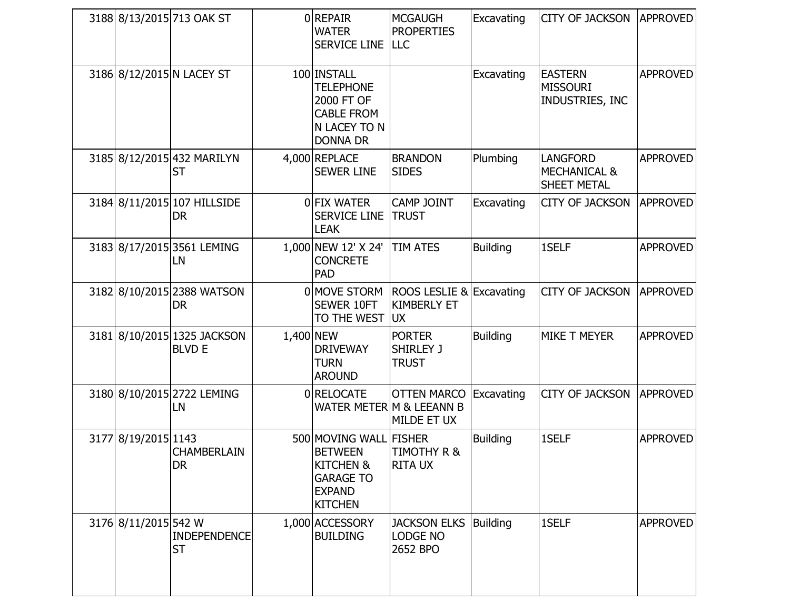|                      | 3188 8/13/2015 713 OAK ST                    |           | 0 REPAIR<br><b>WATER</b><br><b>SERVICE LINE LLC</b>                                                                     | <b>MCGAUGH</b><br><b>PROPERTIES</b>                           | Excavating      | <b>CITY OF JACKSON</b>                                    | <b>APPROVED</b> |
|----------------------|----------------------------------------------|-----------|-------------------------------------------------------------------------------------------------------------------------|---------------------------------------------------------------|-----------------|-----------------------------------------------------------|-----------------|
|                      | 3186 8/12/2015 N LACEY ST                    |           | 100 INSTALL<br><b>TELEPHONE</b><br>2000 FT OF<br><b>CABLE FROM</b><br>N LACEY TO N<br><b>DONNA DR</b>                   |                                                               | Excavating      | <b>EASTERN</b><br><b>MISSOURI</b><br>INDUSTRIES, INC      | <b>APPROVED</b> |
|                      | 3185 8/12/2015 432 MARILYN<br><b>ST</b>      |           | 4,000 REPLACE<br><b>SEWER LINE</b>                                                                                      | <b>BRANDON</b><br><b>SIDES</b>                                | Plumbing        | <b>LANGFORD</b><br><b>MECHANICAL &amp;</b><br>SHEET METAL | <b>APPROVED</b> |
|                      | 3184 8/11/2015 107 HILLSIDE<br><b>DR</b>     |           | 0 FIX WATER<br><b>SERVICE LINE</b><br><b>LEAK</b>                                                                       | <b>CAMP JOINT</b><br><b>TRUST</b>                             | Excavating      | <b>CITY OF JACKSON</b>                                    | <b>APPROVED</b> |
|                      | 3183 8/17/2015 3561 LEMING<br>LN             |           | 1,000 NEW 12' X 24'<br><b>CONCRETE</b><br><b>PAD</b>                                                                    | <b>TIM ATES</b>                                               | <b>Building</b> | 1SELF                                                     | <b>APPROVED</b> |
|                      | 3182 8/10/2015 2388 WATSON<br><b>DR</b>      |           | 0 MOVE STORM<br><b>SEWER 10FT</b><br>TO THE WEST                                                                        | ROOS LESLIE & Excavating<br><b>KIMBERLY ET</b><br><b>UX</b>   |                 | <b>CITY OF JACKSON</b>                                    | <b>APPROVED</b> |
|                      | 3181 8/10/2015 1325 JACKSON<br><b>BLVD E</b> | 1,400 NEW | <b>DRIVEWAY</b><br><b>TURN</b><br><b>AROUND</b>                                                                         | <b>PORTER</b><br>SHIRLEY J<br><b>TRUST</b>                    | <b>Building</b> | MIKE T MEYER                                              | <b>APPROVED</b> |
|                      | 3180 8/10/2015 2722 LEMING<br>LN             |           | 0 RELOCATE                                                                                                              | <b>OTTEN MARCO</b><br>WATER METER M & LEEANN B<br>MILDE ET UX | Excavating      | <b>CITY OF JACKSON</b>                                    | <b>APPROVED</b> |
| 3177 8/19/2015 1143  | CHAMBERLAIN<br><b>DR</b>                     |           | 500 MOVING WALL FISHER<br><b>BETWEEN</b><br><b>KITCHEN &amp;</b><br><b>GARAGE TO</b><br><b>EXPAND</b><br><b>KITCHEN</b> | <b>TIMOTHY R &amp;</b><br><b>RITA UX</b>                      | <b>Building</b> | 1SELF                                                     | <b>APPROVED</b> |
| 3176 8/11/2015 542 W | <b>INDEPENDENCE</b><br><b>ST</b>             |           | 1,000 ACCESSORY<br><b>BUILDING</b>                                                                                      | <b>JACKSON ELKS</b><br><b>LODGE NO</b><br>2652 BPO            | Building        | 1SELF                                                     | <b>APPROVED</b> |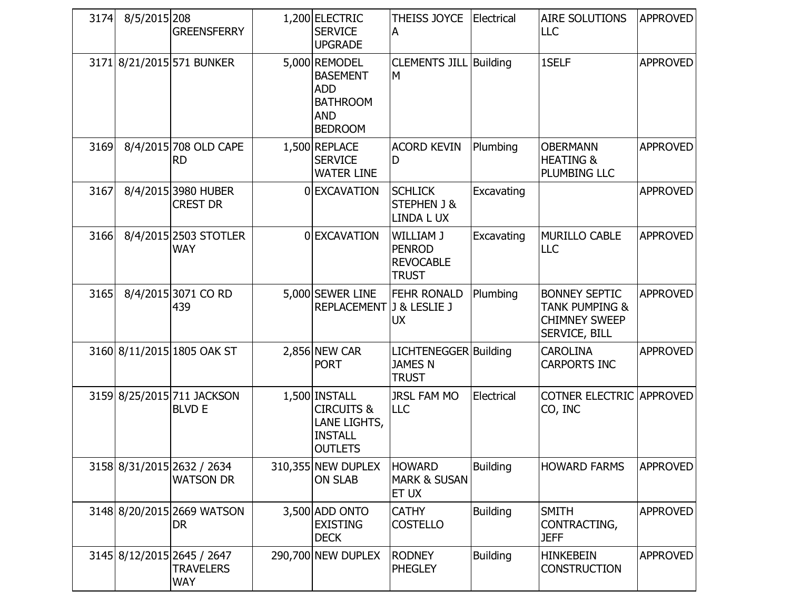| 3174 | 8/5/2015 208 | <b>GREENSFERRY</b>                                           | 1,200 ELECTRIC<br><b>SERVICE</b><br><b>UPGRADE</b>                                                | THEISS JOYCE   Electrical<br>A                                 |                 | AIRE SOLUTIONS<br><b>LLC</b>                                                               | <b>APPROVED</b> |
|------|--------------|--------------------------------------------------------------|---------------------------------------------------------------------------------------------------|----------------------------------------------------------------|-----------------|--------------------------------------------------------------------------------------------|-----------------|
|      |              | 3171 8/21/2015 571 BUNKER                                    | 5,000 REMODEL<br><b>BASEMENT</b><br><b>ADD</b><br><b>BATHROOM</b><br><b>AND</b><br><b>BEDROOM</b> | <b>CLEMENTS JILL Building</b><br>M                             |                 | 1SELF                                                                                      | <b>APPROVED</b> |
| 3169 |              | 8/4/2015 708 OLD CAPE<br><b>RD</b>                           | 1,500 REPLACE<br><b>SERVICE</b><br><b>WATER LINE</b>                                              | <b>ACORD KEVIN</b><br>D                                        | Plumbing        | <b>OBERMANN</b><br><b>HEATING &amp;</b><br>PLUMBING LLC                                    | <b>APPROVED</b> |
| 3167 |              | 8/4/2015 3980 HUBER<br><b>CREST DR</b>                       | 0 EXCAVATION                                                                                      | <b>SCHLICK</b><br><b>STEPHEN J &amp;</b><br>LINDA L UX         | Excavating      |                                                                                            | <b>APPROVED</b> |
| 3166 |              | 8/4/2015 2503 STOTLER<br><b>WAY</b>                          | 0 EXCAVATION                                                                                      | WILLIAM J<br><b>PENROD</b><br><b>REVOCABLE</b><br><b>TRUST</b> | Excavating      | MURILLO CABLE<br><b>LLC</b>                                                                | <b>APPROVED</b> |
| 3165 |              | 8/4/2015 3071 CO RD<br>439                                   | 5,000 SEWER LINE<br>REPLACEMENT J & LESLIE J                                                      | <b>FEHR RONALD</b><br><b>UX</b>                                | Plumbing        | <b>BONNEY SEPTIC</b><br><b>TANK PUMPING &amp;</b><br><b>CHIMNEY SWEEP</b><br>SERVICE, BILL | <b>APPROVED</b> |
|      |              | 3160 8/11/2015 1805 OAK ST                                   | $2,856$ NEW CAR<br><b>PORT</b>                                                                    | LICHTENEGGER Building<br><b>JAMES N</b><br><b>TRUST</b>        |                 | <b>CAROLINA</b><br><b>CARPORTS INC</b>                                                     | <b>APPROVED</b> |
|      |              | 3159 8/25/2015 711 JACKSON<br><b>BLVD E</b>                  | 1,500 INSTALL<br><b>CIRCUITS &amp;</b><br>LANE LIGHTS,<br><b>INSTALL</b><br><b>OUTLETS</b>        | <b>JRSL FAM MO</b><br>LLC                                      | Electrical      | <b>COTNER ELECTRIC APPROVED</b><br>CO, INC                                                 |                 |
|      |              | 3158 8/31/2015 2632 / 2634<br><b>WATSON DR</b>               | 310,355 NEW DUPLEX<br><b>ON SLAB</b>                                                              | <b>HOWARD</b><br><b>MARK &amp; SUSAN</b><br>ET UX              | <b>Building</b> | <b>HOWARD FARMS</b>                                                                        | <b>APPROVED</b> |
|      |              | 3148 8/20/2015 2669 WATSON<br><b>DR</b>                      | 3,500 ADD ONTO<br><b>EXISTING</b><br><b>DECK</b>                                                  | <b>CATHY</b><br><b>COSTELLO</b>                                | <b>Building</b> | <b>SMITH</b><br>CONTRACTING,<br><b>JEFF</b>                                                | <b>APPROVED</b> |
|      |              | 3145 8/12/2015 2645 / 2647<br><b>TRAVELERS</b><br><b>WAY</b> | 290,700 NEW DUPLEX                                                                                | <b>RODNEY</b><br><b>PHEGLEY</b>                                | <b>Building</b> | <b>HINKEBEIN</b><br><b>CONSTRUCTION</b>                                                    | <b>APPROVED</b> |